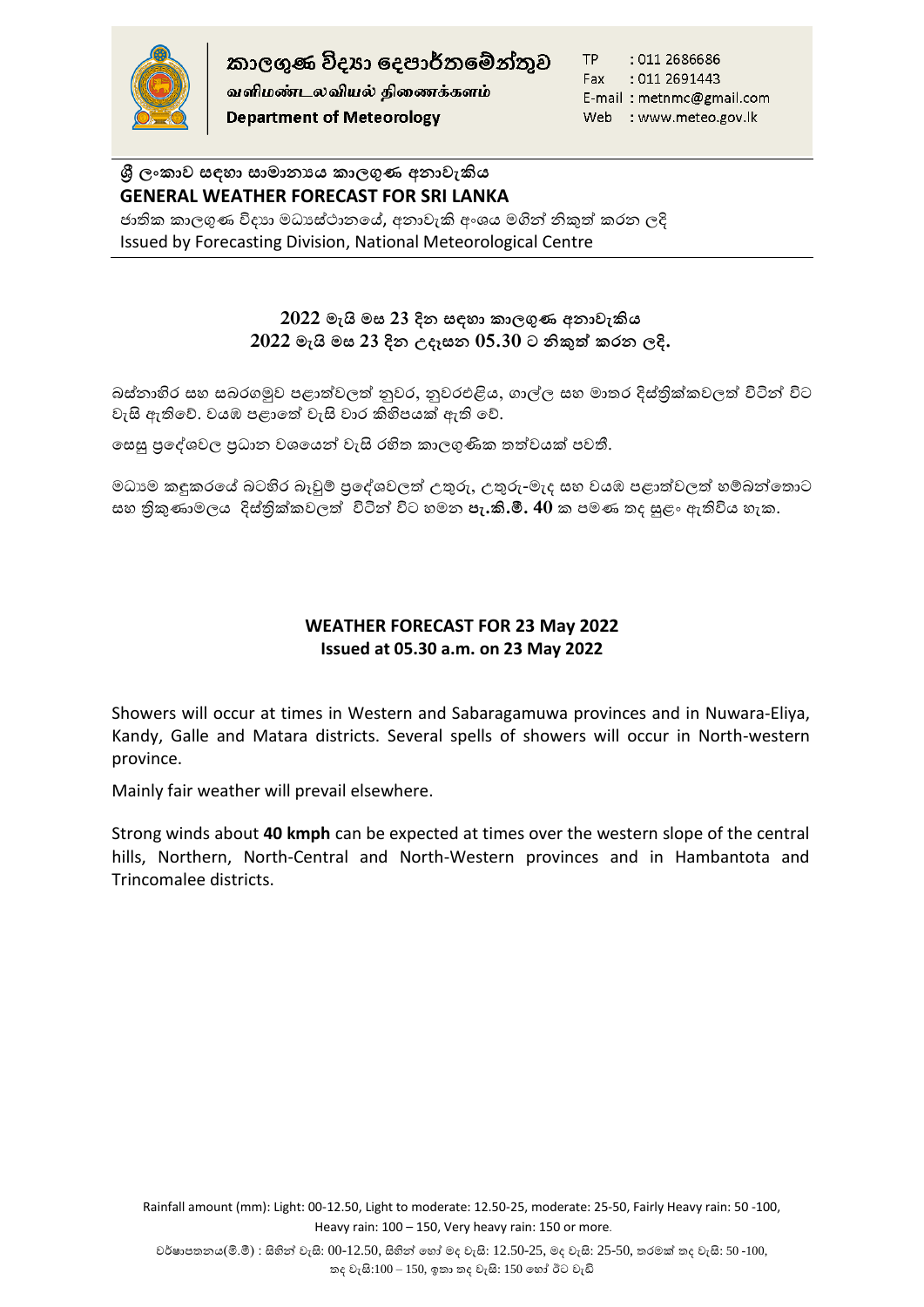

කාලගුණ විදහා දෙපාර්තමේන්තුව

வளிமண்டலவியல் திணைக்களம் **Department of Meteorology** 

TP : 011 2686686 : 011 2691443 Fax E-mail: metnmc@gmail.com Web : www.meteo.gov.lk

# **ශ්රී ලාකාව සඳහා සාමානයය කාලගුණ අනාවැකිය GENERAL WEATHER FORECAST FOR SRI LANKA**

ජාතික කාලගුණ විදාහ මධාස්ථානයේ, අනාවැකි අංශය මගින් නිකුත් කරන ලදි Issued by Forecasting Division, National Meteorological Centre

# **2022 මැයි මස 23 දින සඳහා කාලගුණ අනාවැකිය 2022 මැයි මස 23 දින උදෑසන 05.30 ට නිකුත් කරන ලදි.**

බස්තාහිර සහ සබරගමුව පළාත්වලත් නුවර, නුවරඑළිය, ගාල්ල සහ මාතර දිස්තික්කවලත් විටින් විට වැසි ඇතිහේ. වයඹ පළාහත් වැසි වාර කිහිපයක් ඇති හේ.

හසසු ප්රහශවවල ප්රධාන වවහයන් වැසි රහිත ලාලගුණිල තත්වයක් පවතී.

මධාාම කඳුකරයේ බටහිර බෑවුම් පුදේශවලත් උතුරු, උතුරු-මැද සහ වයඹ පළාත්වලත් හම්බන්තොට සහ තිකුණාමලය දිස්තික්කවලත් විටින් විට හමන **පැ.කි.මී. 40** ක පමණ තද සුළං ඇතිවිය හැක.

## **WEATHER FORECAST FOR 23 May 2022 Issued at 05.30 a.m. on 23 May 2022**

Showers will occur at times in Western and Sabaragamuwa provinces and in Nuwara-Eliya, Kandy, Galle and Matara districts. Several spells of showers will occur in North-western province.

Mainly fair weather will prevail elsewhere.

Strong winds about **40 kmph** can be expected at times over the western slope of the central hills, Northern, North-Central and North-Western provinces and in Hambantota and Trincomalee districts.